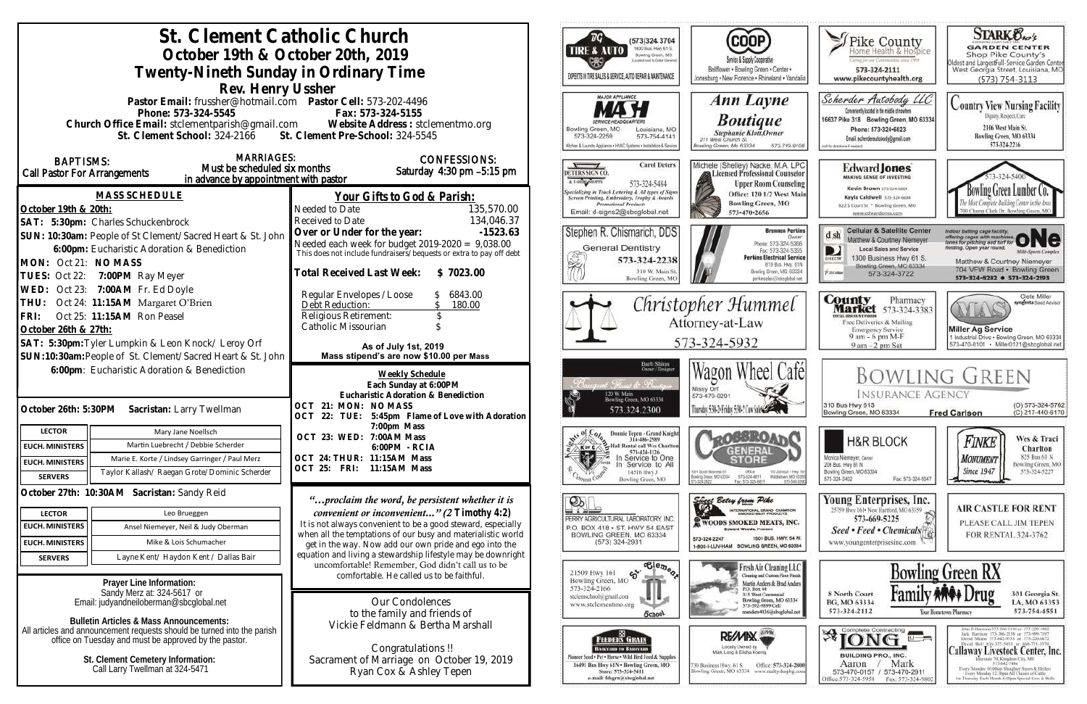| St. Clement Catholic Church<br>October 19th & October 20th, 2019<br>Twenty-Nineth Sunday in Ordinary Time                                                                                                                                                       |                                                                                                                                                                                                                | (573)324 3704<br>1400 Bus, Hwy 61 S.<br><b>TIRE &amp; AUTO</b><br>Bowling Green, MO<br>cided meet to Crotian Garrism<br>EXPERTS IN TIRE SALES & SERVICE, AUTO REPAIR & MAINTENANCE | (COOP)<br>Service & Supply Cooperative<br>Bellflower . Bowling Green . Center .<br>Jonesburg . New Florence . Rhineland . Vandali                                                                     | Pike County<br><b>Certag for our Communities street PWP</b><br>573-324-2111<br>www.pikecountyhealth.org                                                                                                          | <b>STARK Oxo's</b><br><b>GARDEN CENTER</b><br>Shop Pike County's<br>Oldest and LargestFull-Service Garden Center<br>West Georgia Street, Louisiana, MO                                                                                 |
|-----------------------------------------------------------------------------------------------------------------------------------------------------------------------------------------------------------------------------------------------------------------|----------------------------------------------------------------------------------------------------------------------------------------------------------------------------------------------------------------|------------------------------------------------------------------------------------------------------------------------------------------------------------------------------------|-------------------------------------------------------------------------------------------------------------------------------------------------------------------------------------------------------|------------------------------------------------------------------------------------------------------------------------------------------------------------------------------------------------------------------|----------------------------------------------------------------------------------------------------------------------------------------------------------------------------------------------------------------------------------------|
| Rev. Henry Ussher                                                                                                                                                                                                                                               |                                                                                                                                                                                                                |                                                                                                                                                                                    |                                                                                                                                                                                                       |                                                                                                                                                                                                                  | $(573) 754 - 3113$                                                                                                                                                                                                                     |
| Pastor Email: frussher@hotmail.com    Pastor Cell: 573-202-4496<br>Phone: 573-324-5545<br>Fax: 573-324-5155<br>Church Office Email: stclementparish@gmail.com Website Address: stclementmo.org<br>St. Clement School: 324-2166 St. Clement Pre-School: 324-5545 |                                                                                                                                                                                                                | <b>MAJOR APPLIANCE</b><br>Bowling Green, MO<br>Louisiana, MC<br>573-754-4141<br>573-324-2259<br>Rchen & Launchy Appliance . HVAC Systems . Installation & Service                  | Ann Layne<br><b>Boutique</b><br><b>Stephanie Klott</b> , Owner<br>211 West Church St.<br>Bowling Green, Mo 63334<br>573-719-910                                                                       | Scherder Autobody LLC<br>Conveniently located in the middle of nowhere<br>16637 Pike 318 Bowling Green, MO 63334<br>Phone: 573+324+6023<br>Email: scherderautobody@gmail.com<br>oil for directions if needed,    | <b>Country View Nursing Facility</b><br>Dignity, Respect, Care<br>2106 West Main St.<br>Bowling Green, MO 63334<br>573-324-2216                                                                                                        |
| <b>MARRIAGES:</b><br><b>BAPTISMS:</b><br>Must be scheduled six months<br>Call Pastor For Arrangements<br>in advance by appointment with pastor                                                                                                                  | <b>CONFESSIONS:</b><br>Saturday 4:30 pm -5:15 pm                                                                                                                                                               | <b>Carol Deters</b><br>DETERS SIGN CO.<br>A T-SHIRT SHOPPE<br>573-324-5484                                                                                                         | Michele (Shelley) Nacke, M.A. LPC<br><b>Licensed Professional Counselor</b><br><b>Upper Room Counseling</b>                                                                                           | <b>Edward Jones</b><br>MAKING SENSE OF INVESTING<br>Kevin Brown 573-324-6604                                                                                                                                     |                                                                                                                                                                                                                                        |
| <b>MASS SCHEDULE</b><br>October 19th & 20th:                                                                                                                                                                                                                    | Your Gifts to God & Parish:<br>135,570.00<br>Needed to Date<br>134,046.37<br>Received to Date                                                                                                                  | Specializing in Truck Lettering & All types of Sign:<br>Screen Printing, Embroidery, Trophy & Awards<br><b>Promotional Products</b><br>Email: d-signs2@sbcglobal.net               | Office: 120 1/2 West Main<br><b>Bowling Green, MO</b><br>573-470-2656                                                                                                                                 | Kayla Caldwell 573-324-6604<br>822 S Court St * Bowling Green, MO<br>www.edwardjones.com                                                                                                                         | wling Green Lumber Co.<br>00 Champ Clark Dr. Bowling Green, M.                                                                                                                                                                         |
| SAT: 5:30pm: Charles Schuckenbrock<br>SUN: 10:30am: People of St Clement/Sacred Heart & St. John<br>6:00pm: Eucharistic Adoration & Benediction<br>MON: Oct 21: NO MASS<br>TUES: Oct 22: 7:00PM Ray Meyer                                                       | Over or Under for the year:<br>$-1523.63$<br>Needed each week for budget 2019-2020 = 9,038.00<br>This does not include fundraisers/bequests or extra to pay off debt<br>Total Received Last Week:<br>\$7023.00 | Stephen R. Chismarich, DDS<br><b>General Dentistry</b><br>573-324-2238<br>310 W. Main St<br>Bowling Green, MC                                                                      | <b>Brennen Perkins</b><br><b>Dwner</b><br>Phone: 573-324-5366<br>Fax: 573-324-5355<br><b>Perkins Electrical Service</b><br>B19 Bus. Hwy. 61N<br>Bowling Green, MO. 63334<br>perkinselec@shoplobal.net | <b>Cellular &amp; Satellite Center</b><br>$d$ sh<br>Matthew & Courtney Niemeyer<br><b>Local Sales and Service</b><br>D<br>1300 Business Hwy 61 S.<br>Bowling Green, MO 63334<br><b>Piatolair</b><br>573-324-3722 | Indoor batting cage facility.<br>offering cages with machines ONC<br>leiding. Open year round.<br><b>Milli-Sparts Complex</b><br>Matthew & Courtney Niemeyer<br>704 VFW Road · Bowling Green<br>573-324-8282 0 573-324-2193            |
| WED: Oct 23: 7:00AM Fr. Ed Doyle<br>Oct 24: 11:15AM Margaret O'Brien<br>THU:<br>Oct 25: 11:15AM Ron Peasel<br>FRI:<br>October 26th & 27th:                                                                                                                      | Regular Envelopes / Loose<br>6843.00<br>Debt Reduction:<br>180.00<br>Religious Retirement:<br>Catholic Missourian                                                                                              |                                                                                                                                                                                    | Christopher Hummel<br>Attorney-at-Law                                                                                                                                                                 | <b>County</b><br>Pharmacy<br><b>Market</b> 573-324-3383<br><b>TEAL BISCOUNT FOOD</b><br>Free Deliveries & Mailing<br><b>Emergency Service</b>                                                                    | Clete Miller<br>syngenta Sood Adviso<br>Miller Ag Service                                                                                                                                                                              |
| SAT: 5:30pm: Tyler Lumpkin & Leon Knock/ Leroy Orf                                                                                                                                                                                                              |                                                                                                                                                                                                                |                                                                                                                                                                                    | 573-324-5932                                                                                                                                                                                          | 9 am - 6 pm M-F<br>9 am - 2 pm Sat                                                                                                                                                                               | 1 Industrial Drive . Bowling Green, MO 63334<br>573-470-0101 · Miller0121@sbcglobal.net                                                                                                                                                |
| SUN:10:30am: People of St. Clement/Sacred Heart & St. John                                                                                                                                                                                                      | As of July 1st, 2019<br>Mass stipend's are now \$10.00 per Mass                                                                                                                                                |                                                                                                                                                                                    |                                                                                                                                                                                                       |                                                                                                                                                                                                                  |                                                                                                                                                                                                                                        |
| 6:00pm: Eucharistic Adoration & Benediction<br>October 26th: 5:30PM Sacristan: Larry Twellman                                                                                                                                                                   | Weekly Schedule<br>Each Sunday at 6:00PM<br>Eucharistic Adoration & Benediction<br>OCT 21: MON: NO MASS<br>OCT 22: TUE: 5:45pm Flame of Love with Adoration                                                    | Barb Shinn<br>Owner/Designe<br>t. <u>Floriant</u> de Bruste<br>120 W. Main<br>Bowling Green, MO 63334<br>573.324.2300                                                              | Wagon Wheel Cafel<br>Missy Orf<br>573-470-0291<br>Thursday 5:30-2: Friday 5:30-2 Cow Sales                                                                                                            | <b>INSURANCE AGENCY</b><br>310 Bus Hwy 61S<br>Bowling Green, MO 63334                                                                                                                                            | <b>BOWLING GREEN</b><br>(O) 573-324-5762<br>(C) 217-440-6170<br><b>Fred Carlson</b>                                                                                                                                                    |
| <b>LECTOR</b><br>Mary Jane Noellsch                                                                                                                                                                                                                             | 7:00pm Mass<br>OCT 23: WED: 7:00AM Mass                                                                                                                                                                        | Donnie Tepen - Grand Knigh<br>314-486-2989                                                                                                                                         | <b>LOGSROAT</b>                                                                                                                                                                                       |                                                                                                                                                                                                                  | Wes & Traci                                                                                                                                                                                                                            |
| Martin Luebrecht / Debbie Scherder<br><b>EUCH. MINISTERS</b>                                                                                                                                                                                                    | 6:00 PM - RCIA                                                                                                                                                                                                 | Hall Rental call Wes Charlto<br>$\geq$ X or C $\land$<br>573-424-1126                                                                                                              | <b>GENERAL</b>                                                                                                                                                                                        | <b>H&amp;R BLOCK</b>                                                                                                                                                                                             | Finke<br>Charlton                                                                                                                                                                                                                      |
| Marie E. Korte / Lindsey Garringer / Paul Merz<br><b>EUCH. MINISTERS</b>                                                                                                                                                                                        | OCT 24: THUR: 11:15AM Mass<br>OCT 25: FRI: 11:15AM Mass                                                                                                                                                        | 気勢<br>In Service to One<br>In Service to All                                                                                                                                       | <b>STOR</b>                                                                                                                                                                                           | Monica Niemeyer, Owner<br>206 Bus. Hwy 61 N                                                                                                                                                                      | 825 Bus 61 N<br><b>MONUMENT</b><br>Bowling Green, MO                                                                                                                                                                                   |
| Taylor Kallash/ Raegan Grote/Dominic Scherder<br><b>SERVERS</b>                                                                                                                                                                                                 |                                                                                                                                                                                                                | 14516 Hwy J<br>Bowling Green, MO                                                                                                                                                   | 001 South Business 61<br>Ofice<br>110 Johnson - Hwy 1<br>573-324-6811<br>Middietown, MD-6335<br>lowlinig Grace, MD 63334<br>Fax: 575-324-6811<br>573-549-20                                           | Bowling Green, MO 63334<br>Fax: 573-324-5047<br>573-324-3402                                                                                                                                                     | <b>Since 1947</b><br>573-324-5227                                                                                                                                                                                                      |
| October 27th: 10:30AM Sacristan: Sandy Reid                                                                                                                                                                                                                     | "proclaim the word, be persistent whether it is                                                                                                                                                                | $\mathfrak{D}$<br>$\Box$                                                                                                                                                           | Singer Betsy from Pike                                                                                                                                                                                | Young Enterprises, Inc.<br>25759 Hwy 161 . New Hartford, MO 63359                                                                                                                                                | <b>AIR CASTLE FOR RENT</b>                                                                                                                                                                                                             |
| Leo Brueggen<br><b>LECTOR</b><br><b>EUCH. MINISTERS</b>                                                                                                                                                                                                         | convenient or inconvenient" (2 $T$ imothy 4:2)<br>It is not always convenient to be a good steward, especially                                                                                                 | PERRY AGRICULTURAL LABORATORY, INC.                                                                                                                                                | INTERNATIONAL GRAND CHAMPION<br>WOODS SMOKED MEATS, INC.                                                                                                                                              | 573-669-5225                                                                                                                                                                                                     | PLEASE CALL JIM TEPEN                                                                                                                                                                                                                  |
| Ansel Niemeyer, Neil & Judy Oberman                                                                                                                                                                                                                             | when all the temptations of our busy and materialistic world                                                                                                                                                   | P.O. BOX 418 . ST. HWY 54 EAST<br>BOWLING GREEN, MO 63334                                                                                                                          | <b>Edward Woods, President</b><br>1501 BUS, HWY, 54 W.<br>573-324-2247                                                                                                                                | Seed • Feed • Chemicals <sup>[4]</sup>                                                                                                                                                                           | FOR RENTAL 324-3762                                                                                                                                                                                                                    |
| <b>EUCH. MINISTERS</b><br>Mike & Lois Schumacher                                                                                                                                                                                                                | get in the way. Now add our own pride and ego into the<br>equation and living a stewardship lifestyle may be downright                                                                                         | $(573)$ 324-2931                                                                                                                                                                   | 1-800-I-LUV-HAM BOWLING GREEN, MO 63334                                                                                                                                                               | www.youngenterprisesinc.com                                                                                                                                                                                      |                                                                                                                                                                                                                                        |
| Layne Kent/ Haydon Kent / Dallas Bair<br><b>SERVERS</b>                                                                                                                                                                                                         | uncomfortable! Remember, God didn't call us to be<br>comfortable. He called us to be faithful.                                                                                                                 | $\overline{\text{e}_{\text{e}_{m}}^{\text{le}}\text{e}_{n}}$<br>Bowling Green, MO $\delta$                                                                                         | Fresh Air Cleaning LLC<br>Cleaning and Custom Floor Finish                                                                                                                                            |                                                                                                                                                                                                                  | <b>Bowling Green RX</b>                                                                                                                                                                                                                |
| Prayer Line Information:<br>Sandy Merz at: 324-5617 or<br>Email: judyandheiloberman@sbcqlobal.net                                                                                                                                                               | Our Condolences<br>to the family and friends of                                                                                                                                                                | 573-324-2166<br>stelemschool@gmail.com<br>www.stclementmo.org<br>School                                                                                                            | Martin Anders & Brad Anders<br>P.O. Box 44<br>315 West Centennial<br>Bowling Green, MO 63334<br>573-592-9899 Cell<br>manders4036@sbcglobal.net                                                        | 8 North Court<br>BG, MO 63334<br>573-324-2112                                                                                                                                                                    | <b>ANDE Urug</b><br>301 Georgia St.<br>LA, MO 63353<br>573-754-4551<br>Your Hometown Pharmacy                                                                                                                                          |
| <b>Bulletin Articles &amp; Mass Announcements:</b><br>All articles and announcement requests should be turned into the parish<br>office on Tuesday and must be approved by the pastor.                                                                          | Vickie Feldmann & Bertha Marshall<br>Congratulations !!                                                                                                                                                        | $\blacksquare$<br><b>FEEDERS GRAIN</b><br><b>BACKYARD TO BARNVARD</b>                                                                                                              | RE/MIX<br>Locally Owned by                                                                                                                                                                            | $\mathbb{R}$ TONG<br>$\overline{u}$ =                                                                                                                                                                            | John P. Harrison 573-386-5130 or 573-220-1482<br>Jack Hurrison 573-386-2138 or 573-999-7197<br>David Means 573-642-9753 st 573-220-0472<br>David Bell 816-527-5633 or 660-721-1370                                                     |
| St. Clement Cemetery Information:<br>Call Larry Twellman at 324-5471                                                                                                                                                                                            | Sacrament of Marriage on October 19, 2019<br>Ryan Cox & Ashley Tepen                                                                                                                                           | Finneer Seed + Pet + Horse + Wild Hird Feed & Supplies<br>16491 Bus Hwy 61N . Bowling Green, MO<br>Store: 573-324-5411<br>e-mail: fdsgrn@sbcglobal.net                             | Office: 573-324-2800<br>30 Business Hwy. 61 S<br>Bowling Green, MO 63334 www.realtyshopbg.com                                                                                                         | <b>BUILDING PRO., INC.</b><br>Mark<br>Aaron<br>573-470-0157 / 573-470-2911<br>Office:573-324-5958<br>Fax: 573-324-980                                                                                            | Callaway Livestock Center, Inc.<br>state 70. Kingdom City, MO.<br>573-642-7486<br>Every Monitay 10:00am Sloughter Steers & Heilery<br>Every Memlay 12:30pm All Classes of Cattle<br>at Thursday Each Month 6:00pm Special Cow & Bulls. |